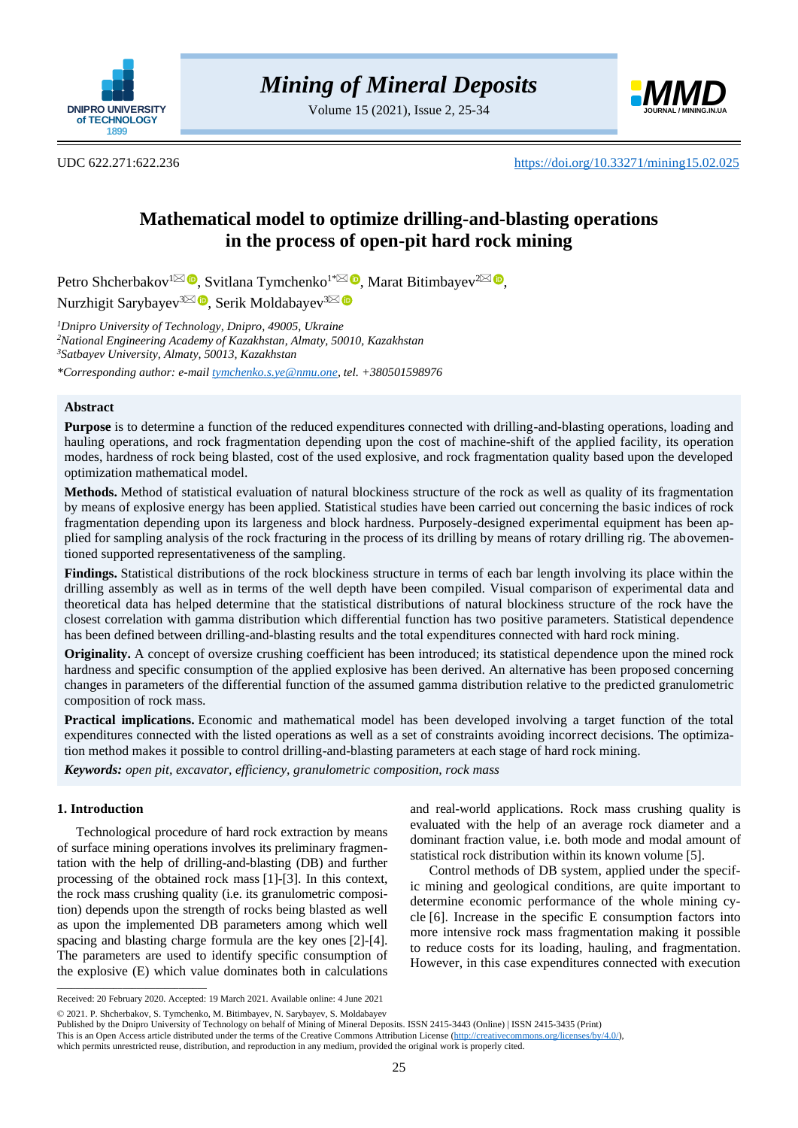

Volume 15 (2021), Issue 2, 25-34



UDC 622.271:622.236 [https://doi.org/10.33271/mining15.02.025](https://doi.org/10.33271/mining15.02.042)

# **Mathematical model to optimize drilling-and-blasting operations in the process of open-pit hard rock mining**

Petro Shcherbakov<sup>[1](mailto:shcherbakov.p.m@nmu.one)⊠</sup> ®[,](https://orcid.org/0000-0003-0870-8591) Svitlana Tymchenko<sup>1[\\*](mailto:tymchenko.s.ye@nmu.one)⊠ ®</sup>, Marat Bitimbayev<sup>[2](mailto:mbitimbayev@mail.ru)⊠ ®</sup>, Nurzhigit Sarybayev<sup>[3](mailto:moldabaev_s_k@mail.ru)⊠</sup> D[,](https://orcid.org/0000-0001-9856-803X) Serik Moldabayev<sup>3</sup>

*<sup>1</sup>Dnipro University of Technology, Dnipro, 49005, Ukraine <sup>2</sup>National Engineering Academy of Kazakhstan, Almaty, 50010, Kazakhstan <sup>3</sup>Satbayev University, Almaty, 50013, Kazakhstan*

*\*Corresponding author: e-mail [tymchenko.s.ye@nmu.one,](mailto:tymchenko.s.ye@nmu.one) tel. +380501598976*

# **Abstract**

**Purpose** is to determine a function of the reduced expenditures connected with drilling-and-blasting operations, loading and hauling operations, and rock fragmentation depending upon the cost of machine-shift of the applied facility, its operation modes, hardness of rock being blasted, cost of the used explosive, and rock fragmentation quality based upon the developed optimization mathematical model.

**Methods.** Method of statistical evaluation of natural blockiness structure of the rock as well as quality of its fragmentation by means of explosive energy has been applied. Statistical studies have been carried out concerning the basic indices of rock fragmentation depending upon its largeness and block hardness. Purposely-designed experimental equipment has been applied for sampling analysis of the rock fracturing in the process of its drilling by means of rotary drilling rig. The abovementioned supported representativeness of the sampling.

**Findings.** Statistical distributions of the rock blockiness structure in terms of each bar length involving its place within the drilling assembly as well as in terms of the well depth have been compiled. Visual comparison of experimental data and theoretical data has helped determine that the statistical distributions of natural blockiness structure of the rock have the closest correlation with gamma distribution which differential function has two positive parameters. Statistical dependence has been defined between drilling-and-blasting results and the total expenditures connected with hard rock mining.

**Originality.** A concept of oversize crushing coefficient has been introduced; its statistical dependence upon the mined rock hardness and specific consumption of the applied explosive has been derived. An alternative has been proposed concerning changes in parameters of the differential function of the assumed gamma distribution relative to the predicted granulometric composition of rock mass.

**Practical implications.** Economic and mathematical model has been developed involving a target function of the total expenditures connected with the listed operations as well as a set of constraints avoiding incorrect decisions. The optimization method makes it possible to control drilling-and-blasting parameters at each stage of hard rock mining.

*Keywords: open pit, excavator, efficiency, granulometric composition, rock mass*

## **1. Introduction**

 $\overline{\phantom{a}}$  ,  $\overline{\phantom{a}}$  ,  $\overline{\phantom{a}}$  ,  $\overline{\phantom{a}}$  ,  $\overline{\phantom{a}}$  ,  $\overline{\phantom{a}}$  ,  $\overline{\phantom{a}}$  ,  $\overline{\phantom{a}}$  ,  $\overline{\phantom{a}}$  ,  $\overline{\phantom{a}}$  ,  $\overline{\phantom{a}}$  ,  $\overline{\phantom{a}}$  ,  $\overline{\phantom{a}}$  ,  $\overline{\phantom{a}}$  ,  $\overline{\phantom{a}}$  ,  $\overline{\phantom{a}}$ 

Technological procedure of hard rock extraction by means of surface mining operations involves its preliminary fragmentation with the help of drilling-and-blasting (DB) and further processing of the obtained rock mass [\[1\]-](#page-8-0)[\[3\].](#page-8-1) In this context, the rock mass crushing quality (i.e. its granulometric composition) depends upon the strength of rocks being blasted as well as upon the implemented DB parameters among which well spacing and blasting charge formula are the key ones [\[2\]](#page-8-2)[-\[4\].](#page-8-3) The parameters are used to identify specific consumption of the explosive (E) which value dominates both in calculations and real-world applications. Rock mass crushing quality is evaluated with the help of an average rock diameter and a dominant fraction value, i.e. both mode and modal amount of statistical rock distribution within its known volume [\[5\].](#page-8-4)

Control methods of DB system, applied under the specific mining and geological conditions, are quite important to determine economic performance of the whole mining cycle [\[6\].](#page-8-5) Increase in the specific E consumption factors into more intensive rock mass fragmentation making it possible to reduce costs for its loading, hauling, and fragmentation. However, in this case expenditures connected with execution

Received: 20 February 2020. Accepted: 19 March 2021. Available online: 4 June 2021

<sup>© 2021.</sup> P. Shcherbakov, S. Tymchenko, M. Bitimbayev, N. Sarybayev, S. Moldabayev

Published by the Dnipro University of Technology on behalf of Mining of Mineral Deposits. ISSN 2415-3443 (Online) | ISSN 2415-3435 (Print)

This is an Open Access article distributed under the terms of the Creative Commons Attribution License [\(http://creativecommons.org/licenses/by/4.0/\)](http://creativecommons.org/licenses/by/4.0/),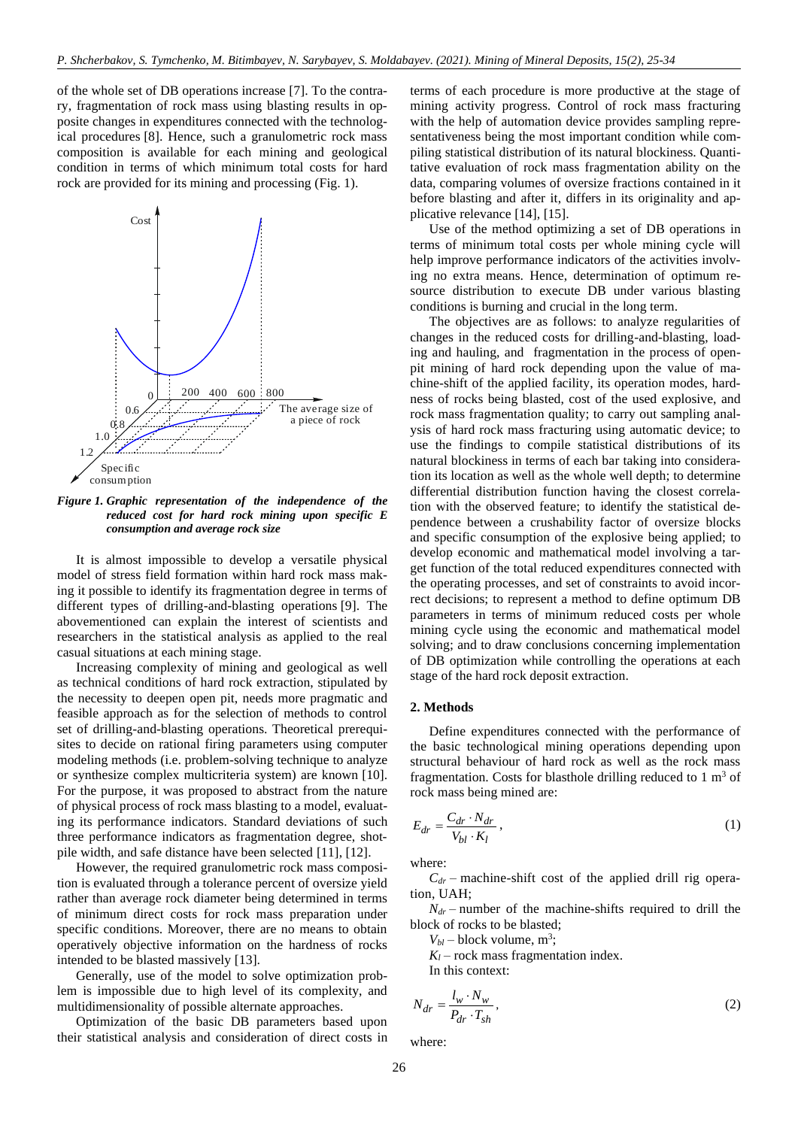of the whole set of DB operations increase [\[7\].](#page-8-6) To the contrary, fragmentation of rock mass using blasting results in opposite changes in expenditures connected with the technological procedures [\[8\].](#page-8-7) Hence, such a granulometric rock mass composition is available for each mining and geological condition in terms of which minimum total costs for hard rock are provided for its mining and processing (Fig. 1).



*Figure 1. Graphic representation of the independence of the reduced cost for hard rock mining upon specific E consumption and average rock size*

It is almost impossible to develop a versatile physical model of stress field formation within hard rock mass making it possible to identify its fragmentation degree in terms of different types of drilling-and-blasting operations [\[9\].](#page-8-8) The abovementioned can explain the interest of scientists and researchers in the statistical analysis as applied to the real casual situations at each mining stage.

Increasing complexity of mining and geological as well as technical conditions of hard rock extraction, stipulated by the necessity to deepen open pit, needs more pragmatic and feasible approach as for the selection of methods to control set of drilling-and-blasting operations. Theoretical prerequisites to decide on rational firing parameters using computer modeling methods (i.e. problem-solving technique to analyze or synthesize complex multicriteria system) are known [\[10\].](#page-8-9) For the purpose, it was proposed to abstract from the nature of physical process of rock mass blasting to a model, evaluating its performance indicators. Standard deviations of such three performance indicators as fragmentation degree, shotpile width, and safe distance have been selected [\[11\],](#page-8-10) [\[12\].](#page-8-11)

However, the required granulometric rock mass composition is evaluated through a tolerance percent of oversize yield rather than average rock diameter being determined in terms of minimum direct costs for rock mass preparation under specific conditions. Moreover, there are no means to obtain operatively objective information on the hardness of rocks intended to be blasted massively [\[13\].](#page-8-12)

Generally, use of the model to solve optimization problem is impossible due to high level of its complexity, and multidimensionality of possible alternate approaches.

Optimization of the basic DB parameters based upon their statistical analysis and consideration of direct costs in terms of each procedure is more productive at the stage of mining activity progress. Control of rock mass fracturing with the help of automation device provides sampling representativeness being the most important condition while compiling statistical distribution of its natural blockiness. Quantitative evaluation of rock mass fragmentation ability on the data, comparing volumes of oversize fractions contained in it before blasting and after it, differs in its originality and applicative relevance [\[14\],](#page-8-13) [\[15\].](#page-8-14)

Use of the method optimizing a set of DB operations in terms of minimum total costs per whole mining cycle will help improve performance indicators of the activities involving no extra means. Hence, determination of optimum resource distribution to execute DB under various blasting conditions is burning and crucial in the long term.

The objectives are as follows: to analyze regularities of changes in the reduced costs for drilling-and-blasting, loading and hauling, and fragmentation in the process of openpit mining of hard rock depending upon the value of machine-shift of the applied facility, its operation modes, hardness of rocks being blasted, cost of the used explosive, and rock mass fragmentation quality; to carry out sampling analysis of hard rock mass fracturing using automatic device; to use the findings to compile statistical distributions of its natural blockiness in terms of each bar taking into consideration its location as well as the whole well depth; to determine differential distribution function having the closest correlation with the observed feature; to identify the statistical dependence between a crushability factor of oversize blocks and specific consumption of the explosive being applied; to develop economic and mathematical model involving a target function of the total reduced expenditures connected with the operating processes, and set of constraints to avoid incorrect decisions; to represent a method to define optimum DB parameters in terms of minimum reduced costs per whole mining cycle using the economic and mathematical model solving; and to draw conclusions concerning implementation of DB optimization while controlling the operations at each stage of the hard rock deposit extraction.

## **2. Methods**

Define expenditures connected with the performance of the basic technological mining operations depending upon structural behaviour of hard rock as well as the rock mass fragmentation. Costs for blasthole drilling reduced to  $1 \text{ m}^3$  of rock mass being mined are:

$$
E_{dr} = \frac{C_{dr} \cdot N_{dr}}{V_{bl} \cdot K_l},\tag{1}
$$

where:

 $C_{dr}$  – machine-shift cost of the applied drill rig operation, UAH;

 $N_{dr}$  – number of the machine-shifts required to drill the block of rocks to be blasted;

 $V_{bl}$  – block volume, m<sup>3</sup>;

 $K_l$  – rock mass fragmentation index.

In this context:

$$
N_{dr} = \frac{l_w \cdot N_w}{P_{dr} \cdot T_{sh}},\tag{2}
$$

where: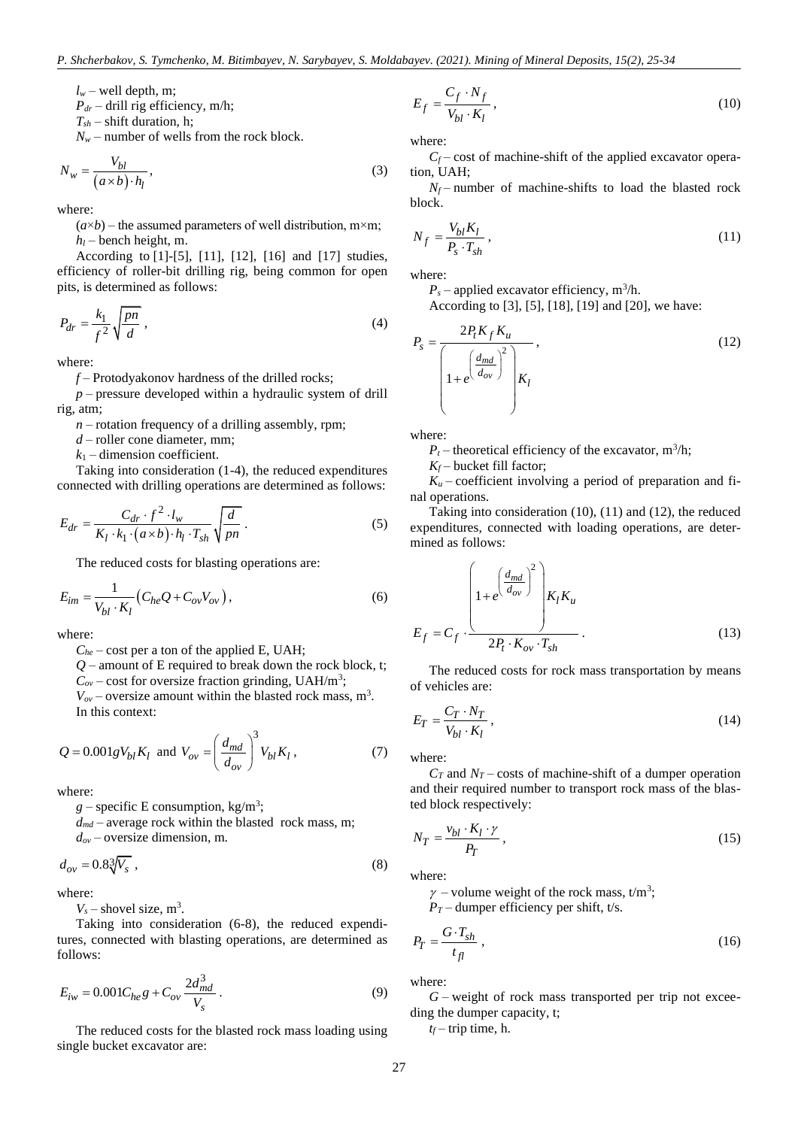$l_w$  – well depth, m;

 $P_{dr}$  – drill rig efficiency, m/h;

 $T_{sh}$  – shift duration, h;

 $N_w$  – number of wells from the rock block.

$$
N_w = \frac{V_{bl}}{(a \times b) \cdot h_l},\tag{3}
$$

where:

 $(a \times b)$  – the assumed parameters of well distribution, m×m;  $h_l$  – bench height, m.

According to [\[1\]](#page-8-0)[-\[5\],](#page-8-4) [\[11\],](#page-8-10) [\[12\],](#page-8-11) [\[16\]](#page-8-15) and [\[17\]](#page-8-16) studies, efficiency of roller-bit drilling rig, being common for open pits, is determined as follows:

$$
P_{dr} = \frac{k_1}{f^2} \sqrt{\frac{pn}{d}} \,,\tag{4}
$$

where:

*f* – Protodyakonov hardness of the drilled rocks;

*p* – pressure developed within a hydraulic system of drill rig, atm;

 $n$  – rotation frequency of a drilling assembly, rpm;

*d* – roller cone diameter, mm;

 $k_1$  – dimension coefficient.

Taking into consideration (1-4), the reduced expenditures connected with drilling operations are determined as follows:

$$
E_{dr} = \frac{C_{dr} \cdot f^2 \cdot l_w}{K_l \cdot k_1 \cdot (a \times b) \cdot h_l \cdot T_{sh}} \sqrt{\frac{d}{pn}}.
$$
 (5)

The reduced costs for blasting operations are:

$$
E_{im} = \frac{1}{V_{bl} \cdot K_l} \left( C_{he} Q + C_{ov} V_{ov} \right),\tag{6}
$$

where:

 $C_{he}$  – cost per a ton of the applied E, UAH;

 $Q$  – amount of E required to break down the rock block, t;

 $C_{ov}$  – cost for oversize fraction grinding, UAH/m<sup>3</sup>;

 $V_{ov}$  – oversize amount within the blasted rock mass, m<sup>3</sup>.

In this context:

$$
Q = 0.001 g V_{bl} K_l \text{ and } V_{ov} = \left(\frac{d_{md}}{d_{ov}}\right)^3 V_{bl} K_l, \qquad (7)
$$

where:

 $g$  – specific E consumption, kg/m<sup>3</sup>;

 $d_{md}$  – average rock within the blasted rock mass, m;

*dov* – oversize dimension, m.

$$
d_{ov} = 0.8\sqrt[3]{V_s} \tag{8}
$$

where:

 $V_s$  – shovel size,  $m^3$ .

Taking into consideration (6-8), the reduced expenditures, connected with blasting operations, are determined as follows:

$$
E_{iw} = 0.001 C_{he} g + C_{ov} \frac{2d_{md}^3}{V_s}.
$$
 (9)

The reduced costs for the blasted rock mass loading using single bucket excavator are:

$$
E_f = \frac{C_f \cdot N_f}{V_{bl} \cdot K_l},\tag{10}
$$

where:

 $C_f$  – cost of machine-shift of the applied excavator operation, UAH;

 $N_f$  – number of machine-shifts to load the blasted rock block.

$$
N_f = \frac{V_{bl} K_l}{P_s \cdot T_{sh}},\tag{11}
$$

where:

 $P_s$  – applied excavator efficiency, m<sup>3</sup>/h.

According to [\[3\],](#page-8-1) [\[5\],](#page-8-4) [\[18\],](#page-8-17) [\[19\]](#page-8-18) an[d \[20\],](#page-8-19) we have:

$$
P_s = \frac{2P_t K_f K_u}{\left(1 + e^{\left(\frac{d_{md}}{d_{ov}}\right)^2}\right) K_l},
$$
\n(12)

where:

 $P_t$  – theoretical efficiency of the excavator, m<sup>3</sup>/h;

 $K_f$  – bucket fill factor;

 $K_u$  – coefficient involving a period of preparation and final operations.

Taking into consideration (10), (11) and (12), the reduced expenditures, connected with loading operations, are determined as follows:

$$
E_f = C_f \cdot \frac{\left(1 + e^{\left(\frac{d_{md}}{d_{ov}}\right)^2}\right) K_I K_u}{2P_t \cdot K_{ov} \cdot T_{sh}}.
$$
\n(13)

The reduced costs for rock mass transportation by means of vehicles are:

$$
E_T = \frac{C_T \cdot N_T}{V_{bl} \cdot K_l},\tag{14}
$$

where:

 $C_T$  and  $N_T$  – costs of machine-shift of a dumper operation and their required number to transport rock mass of the blasted block respectively:

$$
N_T = \frac{v_{bl} \cdot K_l \cdot \gamma}{P_T} \,,\tag{15}
$$

where:

 $\gamma$  – volume weight of the rock mass, t/m<sup>3</sup>;

 $P_T$  – dumper efficiency per shift, t/s.

$$
P_T = \frac{G \cdot T_{sh}}{t_{fl}} \,,\tag{16}
$$

where:

*G* – weight of rock mass transported per trip not exceeding the dumper capacity, t;

 $t_f$  – trip time, h.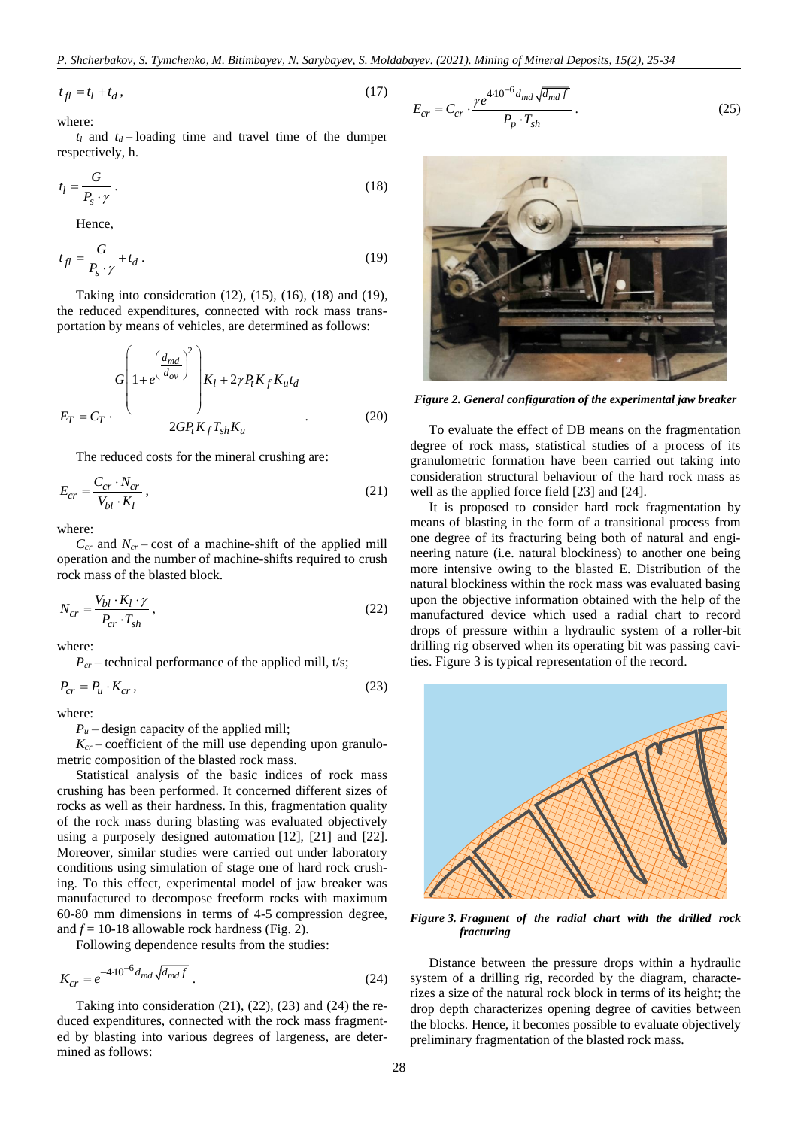$$
t_{fl} = t_l + t_d, \tag{17}
$$

where:

 $t_l$  and  $t_d$  – loading time and travel time of the dumper respectively, h.

$$
t_l = \frac{G}{P_s \cdot \gamma} \,. \tag{18}
$$

Hence,

$$
t_{fl} = \frac{G}{P_s \cdot \gamma} + t_d \,. \tag{19}
$$

Taking into consideration (12), (15), (16), (18) and (19), the reduced expenditures, connected with rock mass transportation by means of vehicles, are determined as follows:

$$
E_T = C_T \cdot \frac{\left(1 + e^{\left(\frac{d_{md}}{d_{ov}}\right)^2}\right)K_l + 2\gamma P_t K_f K_u t_d}{2GP_t K_f T_{sh} K_u}
$$
\n(20)

The reduced costs for the mineral crushing are:

$$
E_{cr} = \frac{C_{cr} \cdot N_{cr}}{V_{bl} \cdot K_l},\tag{21}
$$

where:

 $C_{cr}$  and  $N_{cr}$  – cost of a machine-shift of the applied mill operation and the number of machine-shifts required to crush rock mass of the blasted block.

$$
N_{cr} = \frac{V_{bl} \cdot K_l \cdot \gamma}{P_{cr} \cdot T_{sh}},\tag{22}
$$

where:

 $P_{cr}$  – technical performance of the applied mill, t/s;

$$
P_{cr} = P_u \cdot K_{cr} \,,\tag{23}
$$

where:

 $P<sub>u</sub>$  – design capacity of the applied mill;

 $K_{cr}$  – coefficient of the mill use depending upon granulometric composition of the blasted rock mass.

Statistical analysis of the basic indices of rock mass crushing has been performed. It concerned different sizes of rocks as well as their hardness. In this, fragmentation quality of the rock mass during blasting was evaluated objectively using a purposely designed automation [\[12\],](#page-8-11) [\[21\]](#page-8-20) and [\[22\].](#page-8-21) Moreover, similar studies were carried out under laboratory conditions using simulation of stage one of hard rock crushing. To this effect, experimental model of jaw breaker was manufactured to decompose freeform rocks with maximum 60-80 mm dimensions in terms of 4-5 compression degree, and  $f = 10-18$  allowable rock hardness (Fig. 2).

Following dependence results from the studies:

$$
K_{cr} = e^{-4 \cdot 10^{-6} d_{md} \sqrt{d_{md} f}}.
$$
\n(24)

Taking into consideration (21), (22), (23) and (24) the reduced expenditures, connected with the rock mass fragmented by blasting into various degrees of largeness, are determined as follows:

$$
E_{cr} = C_{cr} \cdot \frac{\gamma e^{4 \cdot 10^{-6} d_{md} \sqrt{d_{md} f}}}{P_p \cdot T_{sh}}.
$$
 (25)



*Figure 2. General configuration of the experimental jaw breaker*

To evaluate the effect of DB means on the fragmentation degree of rock mass, statistical studies of a process of its granulometric formation have been carried out taking into consideration structural behaviour of the hard rock mass as well as the applied force field [\[23\]](#page-8-22) and [\[24\].](#page-8-23)

It is proposed to consider hard rock fragmentation by means of blasting in the form of a transitional process from one degree of its fracturing being both of natural and engineering nature (i.e. natural blockiness) to another one being more intensive owing to the blasted E. Distribution of the natural blockiness within the rock mass was evaluated basing upon the objective information obtained with the help of the manufactured device which used a radial chart to record drops of pressure within a hydraulic system of a roller-bit drilling rig observed when its operating bit was passing cavities. Figure 3 is typical representation of the record.



*Figure 3. Fragment of the radial chart with the drilled rock fracturing*

Distance between the pressure drops within a hydraulic system of a drilling rig, recorded by the diagram, characterizes a size of the natural rock block in terms of its height; the drop depth characterizes opening degree of cavities between the blocks. Hence, it becomes possible to evaluate objectively preliminary fragmentation of the blasted rock mass.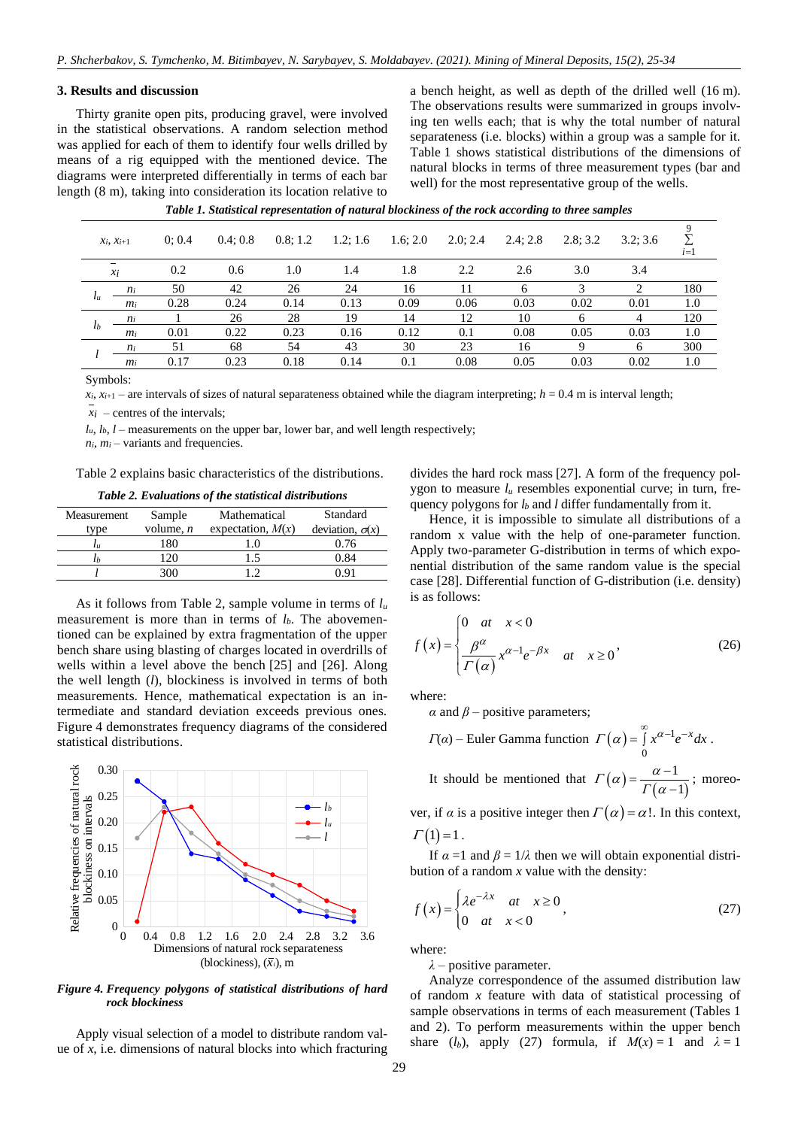## **3. Results and discussion**

Thirty granite open pits, producing gravel, were involved in the statistical observations. A random selection method was applied for each of them to identify four wells drilled by means of a rig equipped with the mentioned device. The diagrams were interpreted differentially in terms of each bar length (8 m), taking into consideration its location relative to a bench height, as well as depth of the drilled well (16 m). The observations results were summarized in groups involving ten wells each; that is why the total number of natural separateness (i.e. blocks) within a group was a sample for it. Table 1 shows statistical distributions of the dimensions of natural blocks in terms of three measurement types (bar and well) for the most representative group of the wells.

|                | $x_i, x_{i+1}$ | 0:0.4 | 0.4:0.8 | 0.8; 1.2 | 1.2; 1.6 | 1.6; 2.0 | 2.0:2.4 | 2.4:2.8 | 2.8:3.2 | 3.2:3.6 | $i=1$ |
|----------------|----------------|-------|---------|----------|----------|----------|---------|---------|---------|---------|-------|
|                | $x_i$          | 0.2   | 0.6     | 1.0      | 1.4      | 1.8      | 2.2     | 2.6     | 3.0     | 3.4     |       |
|                | $n_i$          | 50    | 42      | 26       | 24       | 16       |         | 6       |         |         | 180   |
| $l_u$          | $m_i$          | 0.28  | 0.24    | 0.14     | 0.13     | 0.09     | 0.06    | 0.03    | 0.02    | 0.01    | 1.0   |
|                | $n_i$          |       | 26      | 28       | 19       | 14       | 12      | 10      | -6      | 4       | 120   |
| l <sub>b</sub> | m <sub>i</sub> | 0.01  | 0.22    | 0.23     | 0.16     | 0.12     | 0.1     | 0.08    | 0.05    | 0.03    | 1.0   |
|                | $n_i$          | 51    | 68      | 54       | 43       | 30       | 23      | 16      |         | 6       | 300   |
|                | m <sub>i</sub> | 0.17  | 0.23    | 0.18     | 0.14     | 0.1      | 0.08    | 0.05    | 0.03    | 0.02    | 1.0   |
|                |                |       |         |          |          |          |         |         |         |         |       |

|  | Table 1. Statistical representation of natural blockiness of the rock according to three samples |  |  |  |
|--|--------------------------------------------------------------------------------------------------|--|--|--|
|  |                                                                                                  |  |  |  |

Symbols:

 $x_i$ ,  $x_{i+1}$  – are intervals of sizes of natural separateness obtained while the diagram interpreting;  $h = 0.4$  m is interval length;

 $x_i$  – centres of the intervals;

 $l_u$ ,  $l_b$ ,  $l$  – measurements on the upper bar, lower bar, and well length respectively;

 $n_i$ ,  $m_i$  – variants and frequencies.

Table 2 explains basic characteristics of the distributions.

*Table 2. Evaluations of the statistical distributions*

| Measurement | Sample      | Mathematical        | Standard               |
|-------------|-------------|---------------------|------------------------|
| tvpe        | volume, $n$ | expectation, $M(x)$ | deviation, $\sigma(x)$ |
| $\iota$     |             |                     | 0.76                   |
|             |             |                     | . 84                   |
|             | 300         |                     |                        |

As it follows from Table 2, sample volume in terms of *l<sup>u</sup>* measurement is more than in terms of *lb*. The abovementioned can be explained by extra fragmentation of the upper bench share using blasting of charges located in overdrills of wells within a level above the bench [\[25\]](#page-8-24) and [\[26\].](#page-8-25) Along the well length (*l*), blockiness is involved in terms of both measurements. Hence, mathematical expectation is an intermediate and standard deviation exceeds previous ones. Figure 4 demonstrates frequency diagrams of the considered statistical distributions.



*Figure 4. Frequency polygons of statistical distributions of hard rock blockiness*

Apply visual selection of a model to distribute random value of *x,* i.e. dimensions of natural blocks into which fracturing divides the hard rock mass [\[27\].](#page-8-26) A form of the frequency polygon to measure  $l<sub>u</sub>$  resembles exponential curve; in turn, frequency polygons for  $l_b$  and  $l$  differ fundamentally from it.

Hence, it is impossible to simulate all distributions of a random x value with the help of one-parameter function. Apply two-parameter G-distribution in terms of which exponential distribution of the same random value is the special case [\[28\].](#page-8-27) Differential function of G-distribution (i.e. density) is as follows:

$$
f(x) = \begin{cases} 0 & at \quad x < 0 \\ \frac{\beta^{\alpha}}{\Gamma(\alpha)} x^{\alpha - 1} e^{-\beta x} & at \quad x \ge 0 \end{cases}
$$
 (26)

where:

*α* and  $\beta$  – positive parameters;

$$
\Gamma(\alpha) - \text{Euler Gamma function } \Gamma(\alpha) = \int_{0}^{\infty} x^{\alpha-1} e^{-x} dx.
$$
  
It should be mentioned that 
$$
\Gamma(\alpha) = \frac{\alpha-1}{\Gamma(\alpha-1)} \text{; moreo-
$$

ver, if  $\alpha$  is a positive integer then  $\Gamma(\alpha) = \alpha!$ . In this context,

$$
\Gamma(1)=1.
$$

If  $\alpha = 1$  and  $\beta = 1/\lambda$  then we will obtain exponential distribution of a random *x* value with the density:

$$
f(x) = \begin{cases} \lambda e^{-\lambda x} & \text{at } x \ge 0 \\ 0 & \text{at } x < 0 \end{cases}
$$
 (27)

where:

*λ –* positive parameter.

Analyze correspondence of the assumed distribution law of random *x* feature with data of statistical processing of sample observations in terms of each measurement (Tables 1 and 2). To perform measurements within the upper bench share (*l<sub>b</sub>*), apply (27) formula, if  $M(x) = 1$  and  $\lambda = 1$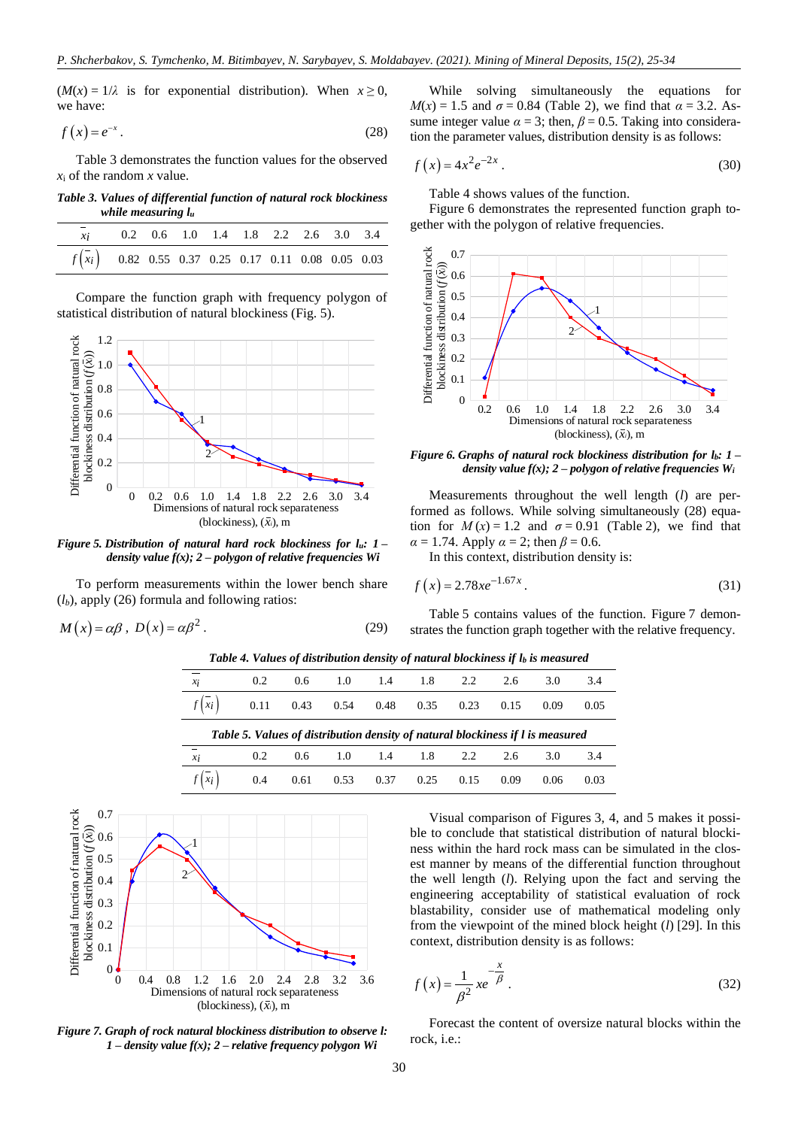$(M(x) = 1/\lambda)$  is for exponential distribution). When  $x \ge 0$ , we have:

$$
f(x) = e^{-x}.
$$
 (28)

Table 3 demonstrates the function values for the observed *x*<sup>i</sup> of the random *x* value.

*Table 3. Values of differential function of natural rock blockiness while measuring l<sup>u</sup>*

| $xi$ i                                                |  |  | 0.2 0.6 1.0 1.4 1.8 2.2 2.6 3.0 3.4 |  |  |
|-------------------------------------------------------|--|--|-------------------------------------|--|--|
| $f(x_i)$ 0.82 0.55 0.37 0.25 0.17 0.11 0.08 0.05 0.03 |  |  |                                     |  |  |

Compare the function graph with frequency polygon of statistical distribution of natural blockiness (Fig. 5).



*Figure 5. Distribution of natural hard rock blockiness for lu: 1 – density value f(x); 2 – polygon of relative frequencies Wi*

To perform measurements within the lower bench share (*lb*), apply (26) formula and following ratios:

$$
M(x) = \alpha \beta, \ D(x) = \alpha \beta^2. \tag{29}
$$

While solving simultaneously the equations for *M*(*x*) = 1.5 and  $σ = 0.84$  (Table 2), we find that  $α = 3.2$ . Assume integer value  $\alpha = 3$ ; then,  $\beta = 0.5$ . Taking into consideration the parameter values, distribution density is as follows:

$$
f(x) = 4x^2 e^{-2x} .
$$
 (30)

Table 4 shows values of the function.

Figure 6 demonstrates the represented function graph together with the polygon of relative frequencies.



*Figure 6. Graphs of natural rock blockiness distribution for lb: 1 – density value*  $f(x)$ ; 2 – *polygon of relative frequencies*  $W_i$ 

Measurements throughout the well length (*l*) are performed as follows. While solving simultaneously (28) equation for  $M(x) = 1.2$  and  $\sigma = 0.91$  (Table 2), we find that  $\alpha = 1.74$ . Apply  $\alpha = 2$ ; then  $\beta = 0.6$ .

In this context, distribution density is:

$$
f(x) = 2.78xe^{-1.67x}.
$$
 (31)

Table 5 contains values of the function. Figure 7 demonstrates the function graph together with the relative frequency.

*Table 4. Values of distribution density of natural blockiness if l<sup>b</sup> is measured*

| $x_i$                   | 0.2                                                                            | 0.6 | 1.0 | 1.4  | 1.8  | 2.2  | 2.6  | 3.0  | 3.4  |
|-------------------------|--------------------------------------------------------------------------------|-----|-----|------|------|------|------|------|------|
| $f(x_i)$ 0.11 0.43 0.54 |                                                                                |     |     | 0.48 | 0.35 | 0.23 | 0.15 | 0.09 | 0.05 |
|                         |                                                                                |     |     |      |      |      |      |      |      |
|                         | Table 5. Values of distribution density of natural blockiness if l is measured |     |     |      |      |      |      |      |      |
| $\overline{x_i}$        | $0.2^{\circ}$                                                                  | 0.6 | 1.0 | 1.4  | 1.8  | 2.2  | 2.6  | 3.0  | 3.4  |



*Figure 7. Graph of rock natural blockiness distribution to observe l: 1 – density value f(x); 2 – relative frequency polygon Wi*

Visual comparison of Figures 3, 4, and 5 makes it possible to conclude that statistical distribution of natural blockiness within the hard rock mass can be simulated in the closest manner by means of the differential function throughout the well length (*l*). Relying upon the fact and serving the engineering acceptability of statistical evaluation of rock blastability, consider use of mathematical modeling only from the viewpoint of the mined block height (*l*) [\[29\].](#page-8-28) In this context, distribution density is as follows:

$$
f(x) = \frac{1}{\beta^2} x e^{-\frac{x}{\beta}}.
$$
 (32)

Forecast the content of oversize natural blocks within the rock, i.e.: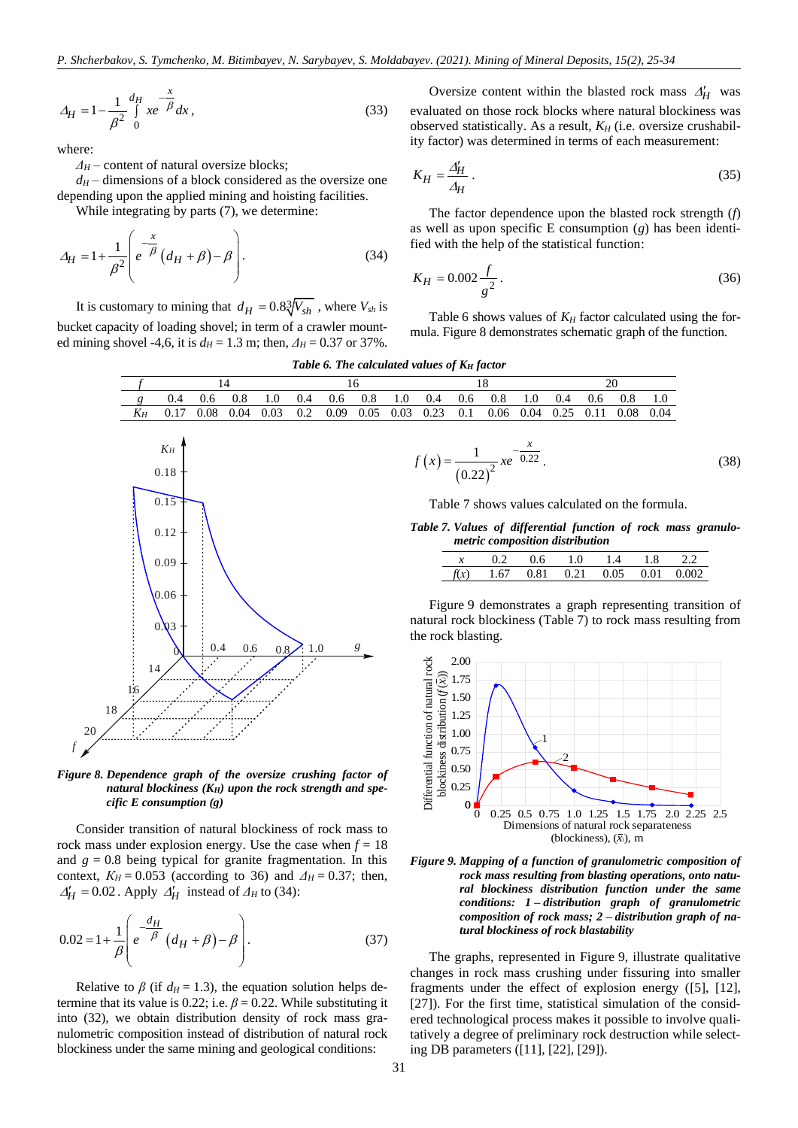$$
\Delta_H = 1 - \frac{1}{\beta^2} \int_0^{H} xe^{-\beta} dx,
$$
\n(33)

where:

*Δ<sup>H</sup>* – content of natural oversize blocks;

 $d_H$  – dimensions of a block considered as the oversize one depending upon the applied mining and hoisting facilities.

While integrating by parts (7), we determine:

$$
\Delta_H = 1 + \frac{1}{\beta^2} \left( e^{-\frac{x}{\beta}} \left( d_H + \beta \right) - \beta \right). \tag{34}
$$

It is customary to mining that  $d_H = 0.8\sqrt[3]{V_{sh}}$ , where  $V_{sh}$  is bucket capacity of loading shovel; in term of a crawler mounted mining shovel -4,6, it is  $d_H = 1.3$  m; then,  $A_H = 0.37$  or 37%.

Oversize content within the blasted rock mass  $\Delta'_{H}$  was evaluated on those rock blocks where natural blockiness was observed statistically. As a result, *K<sup>H</sup>* (i.e. oversize crushability factor) was determined in terms of each measurement:

$$
K_H = \frac{\Delta'_H}{\Delta_H} \,. \tag{35}
$$

The factor dependence upon the blasted rock strength (*f*) as well as upon specific E consumption (*g*) has been identified with the help of the statistical function:

$$
K_H = 0.002 \frac{f}{g^2} \,. \tag{36}
$$

Table 6 shows values of  $K_H$  factor calculated using the formula. Figure 8 demonstrates schematic graph of the function.

|  |  | Table 6. The calculated values of K <sub>H</sub> factor |  |  |  |  |
|--|--|---------------------------------------------------------|--|--|--|--|
|--|--|---------------------------------------------------------|--|--|--|--|

|       | $0.4$ 0.6 0.8 | 1.0 | $0.4$ 0.6 0.8 |  | $1.0$ 0.4 0.6 0.8 1.0 |  | 0.4 | $0.6 \t0.8$                                                         | -1.0 |
|-------|---------------|-----|---------------|--|-----------------------|--|-----|---------------------------------------------------------------------|------|
| $K_H$ | 0.17 0.08     |     |               |  |                       |  |     | 0.04 0.03 0.2 0.09 0.05 0.03 0.23 0.1 0.06 0.04 0.25 0.11 0.08 0.04 |      |
|       |               |     |               |  |                       |  |     |                                                                     |      |





Consider transition of natural blockiness of rock mass to rock mass under explosion energy. Use the case when  $f = 18$ and  $g = 0.8$  being typical for granite fragmentation. In this context,  $K_H = 0.053$  (according to 36) and  $\Delta_H = 0.37$ ; then,  $\Delta_H^{\prime} = 0.02$ . Apply  $\Delta_H^{\prime}$  instead of  $\Delta_H$  to (34):

$$
0.02 = 1 + \frac{1}{\beta} \left( e^{-\frac{d_H}{\beta}} \left( d_H + \beta \right) - \beta \right).
$$
 (37)

Relative to  $\beta$  (if  $d_H = 1.3$ ), the equation solution helps determine that its value is 0.22; i.e.  $\beta = 0.22$ . While substituting it into (32), we obtain distribution density of rock mass granulometric composition instead of distribution of natural rock blockiness under the same mining and geological conditions:

$$
f(x) = \frac{1}{(0.22)^2} x e^{-\frac{x}{0.22}}.
$$
 (38)

Table 7 shows values calculated on the formula.

*Table 7. Values of differential function of rock mass granulometric composition distribution*

| x 0.2 0.6 1.0 1.4 1.8 2.2             |  |  |  |
|---------------------------------------|--|--|--|
| $f(x)$ 1.67 0.81 0.21 0.05 0.01 0.002 |  |  |  |

Figure 9 demonstrates a graph representing transition of natural rock blockiness (Table 7) to rock mass resulting from the rock blasting.





The graphs, represented in Figure 9, illustrate qualitative changes in rock mass crushing under fissuring into smaller fragments under the effect of explosion energy [\(\[5\],](#page-8-4) [\[12\],](#page-8-11) [\[27\]\)](#page-8-26). For the first time, statistical simulation of the considered technological process makes it possible to involve qualitatively a degree of preliminary rock destruction while selecting DB parameters [\(\[11\],](#page-8-10) [\[22\],](#page-8-21) [\[29\]\)](#page-8-28).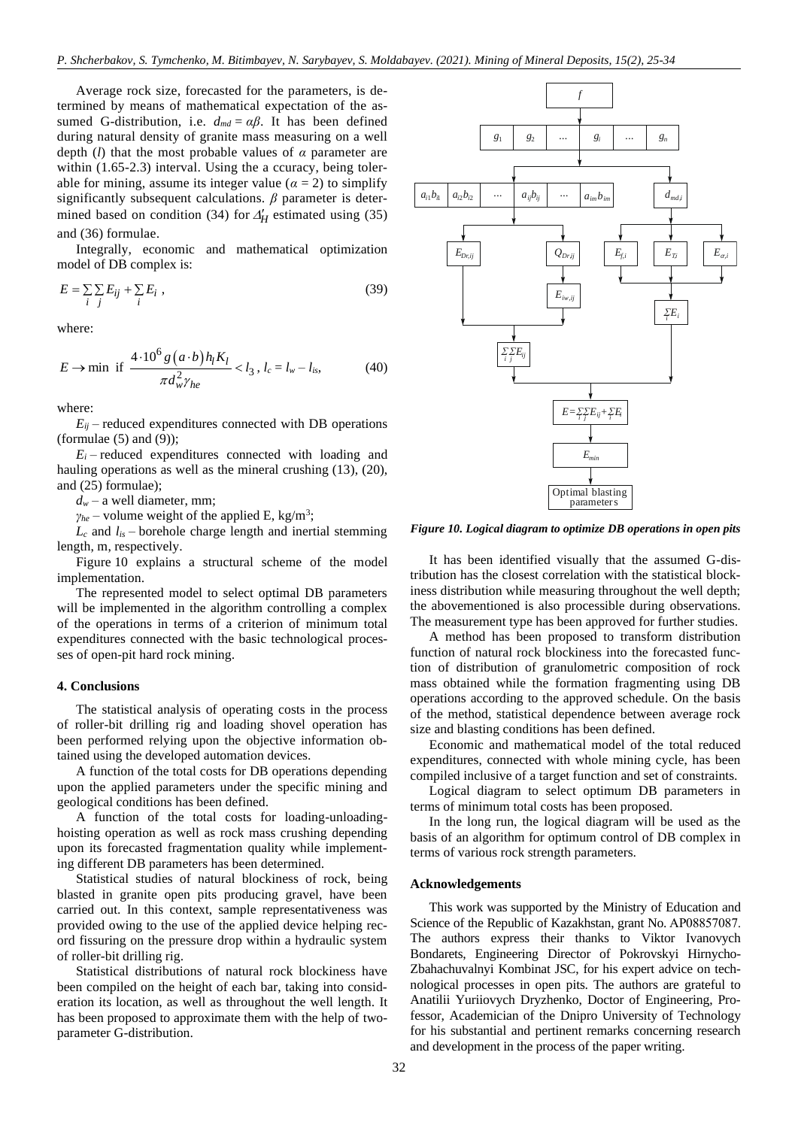Average rock size, forecasted for the parameters, is determined by means of mathematical expectation of the assumed G-distribution, i.e.  $d_{md} = \alpha \beta$ . It has been defined during natural density of granite mass measuring on a well depth (*l*) that the most probable values of *α* parameter are within (1.65-2.3) interval. Using the a ccuracy, being tolerable for mining, assume its integer value ( $\alpha = 2$ ) to simplify significantly subsequent calculations. *β* parameter is determined based on condition (34) for  $\Delta_H'$  estimated using (35) and (36) formulae.

Integrally, economic and mathematical optimization model of DB complex is:

$$
E = \sum_{i} \sum_{j} E_{ij} + \sum_{i} E_{i} \tag{39}
$$

where:

$$
E \to \min \text{ if } \frac{4 \cdot 10^6 g (a \cdot b) h_l K_l}{\pi d_w^2 \gamma_{he}} < l_3, l_c = l_w - l_{is}, \tag{40}
$$

where:

 $E_{ii}$  – reduced expenditures connected with DB operations (formulae  $(5)$  and  $(9)$ );

 $E_i$  – reduced expenditures connected with loading and hauling operations as well as the mineral crushing (13), (20), and (25) formulae);

 $d<sub>w</sub>$  – a well diameter, mm;

 $\gamma_{he}$  – volume weight of the applied E, kg/m<sup>3</sup>;

*L<sup>c</sup>* and *lis* – borehole charge length and inertial stemming length, m, respectively.

Figure 10 explains a structural scheme of the model implementation.

The represented model to select optimal DB parameters will be implemented in the algorithm controlling a complex of the operations in terms of a criterion of minimum total expenditures connected with the basic technological processes of open-pit hard rock mining.

#### **4. Conclusions**

The statistical analysis of operating costs in the process of roller-bit drilling rig and loading shovel operation has been performed relying upon the objective information obtained using the developed automation devices.

A function of the total costs for DB operations depending upon the applied parameters under the specific mining and geological conditions has been defined.

A function of the total costs for loading-unloadinghoisting operation as well as rock mass crushing depending upon its forecasted fragmentation quality while implementing different DB parameters has been determined.

Statistical studies of natural blockiness of rock, being blasted in granite open pits producing gravel, have been carried out. In this context, sample representativeness was provided owing to the use of the applied device helping record fissuring on the pressure drop within a hydraulic system of roller-bit drilling rig.

Statistical distributions of natural rock blockiness have been compiled on the height of each bar, taking into consideration its location, as well as throughout the well length. It has been proposed to approximate them with the help of two-



*Figure 10. Logical diagram to optimize DB operations in open pits*

It has been identified visually that the assumed G-distribution has the closest correlation with the statistical blockiness distribution while measuring throughout the well depth; the abovementioned is also processible during observations. The measurement type has been approved for further studies.

A method has been proposed to transform distribution function of natural rock blockiness into the forecasted function of distribution of granulometric composition of rock mass obtained while the formation fragmenting using DB operations according to the approved schedule. On the basis of the method, statistical dependence between average rock size and blasting conditions has been defined.

Economic and mathematical model of the total reduced expenditures, connected with whole mining cycle, has been compiled inclusive of a target function and set of constraints.

Logical diagram to select optimum DB parameters in terms of minimum total costs has been proposed.

In the long run, the logical diagram will be used as the basis of an algorithm for optimum control of DB complex in terms of various rock strength parameters.

#### **Acknowledgements**

This work was supported by the Ministry of Education and Science of the Republic of Kazakhstan, grant No. АР08857087. The authors express their thanks to Viktor Ivanovych Bondarets, Engineering Director of Pokrovskyi Hirnycho-Zbahachuvalnyi Kombinat JSC, for his expert advice on technological processes in open pits. The authors are grateful to Anatilii Yuriiovych Dryzhenko, Doctor of Engineering, Professor, Academician of the Dnipro University of Technology for his substantial and pertinent remarks concerning research and development in the process of the paper writing.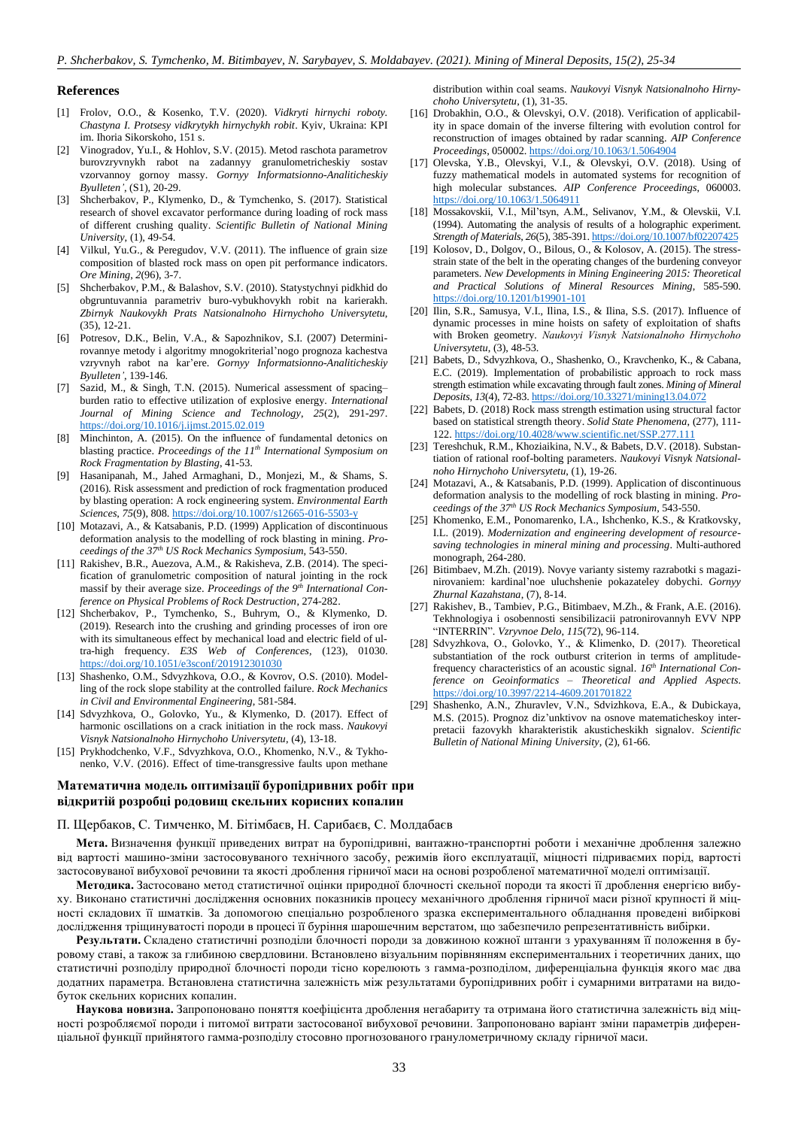#### **References**

- <span id="page-8-0"></span>[1] Frolov, O.O., & Kosenko, T.V. (2020). *Vidkryti hirnychi roboty. Chastyna I. Protsesy vidkrytykh hirnychykh robit*. Kyiv, Ukraina: KPI im. Ihoria Sikorskoho, 151 s.
- <span id="page-8-2"></span>[2] Vinogradov, Yu.I., & Hohlov, S.V. (2015). Metod raschota parametrov burovzryvnykh rabot na zadannyy granulometricheskiy sostav vzorvannoy gornoy massy. *Gornyy Informatsionno-Analiticheskiy Byulleten'*, (S1), 20-29.
- <span id="page-8-1"></span>[3] Shcherbakov, P., Klymenko, D., & Tymchenko, S. (2017). Statistical research of shovel excavator performance during loading of rock mass of different crushing quality. *Scientific Bulletin of National Mining University*, (1), 49-54.
- <span id="page-8-3"></span>[4] Vilkul, Yu.G., & Peregudov, V.V. (2011). The influence of grain size composition of blasted rock mass on open pit performance indicators. *Ore Mining*, *2*(96), 3-7.
- <span id="page-8-4"></span>[5] Shcherbakov, P.M., & Balashov, S.V. (2010). Statystychnyi pidkhid do obgruntuvannia parametriv buro-vybukhovykh robit na karierakh. *Zbirnyk Naukovykh Prats Natsionalnoho Hirnychoho Universytetu*, (35), 12-21.
- <span id="page-8-5"></span>[6] Potresov, D.K., Belin, V.A., & Sapozhnikov, S.I. (2007) Determinirovannye metody i algoritmy mnogokriterial'nogo prognoza kachestva vzryvnyh rabot na kar'ere. *Gornyy Informatsionno-Analiticheskiy Byulleten'*, 139-146.
- <span id="page-8-6"></span>[7] Sazid, M., & Singh, T.N. (2015). Numerical assessment of spacing– burden ratio to effective utilization of explosive energy. *International Journal of Mining Science and Technology*, *25*(2), 291-297. <https://doi.org/10.1016/j.ijmst.2015.02.019>
- <span id="page-8-7"></span>[8] Minchinton, A. (2015). On the influence of fundamental detonics on blasting practice. *Proceedings of the 11th International Symposium on Rock Fragmentation by Blasting*, 41-53.
- <span id="page-8-8"></span>[9] Hasanipanah, M., Jahed Armaghani, D., Monjezi, M., & Shams, S. (2016). Risk assessment and prediction of rock fragmentation produced by blasting operation: A rock engineering system. *Environmental Earth Sciences*, *75*(9), 808[. https://doi.org/10.1007/s12665-016-5503-y](https://doi.org/10.1007/s12665-016-5503-y)
- <span id="page-8-9"></span>[10] Motazavi, A., & Katsabanis, P.D. (1999) Application of discontinuous deformation analysis to the modelling of rock blasting in mining. *Proceedings of the 37th US Rock Mechanics Symposium*, 543-550.
- <span id="page-8-10"></span>[11] Rakishev, B.R., Auezova, A.M., & Rakisheva, Z.B. (2014). The specification of granulometric composition of natural jointing in the rock massif by their average size. *Proceedings of the 9th International Conference on Physical Problems of Rock Destruction*, 274-282.
- <span id="page-8-11"></span>[12] Shcherbakov, P., Tymchenko, S., Buhrym, O., & Klymenko, D. (2019). Research into the crushing and grinding processes of iron ore with its simultaneous effect by mechanical load and electric field of ultra-high frequency. *E3S Web of Conferences*, (123), 01030. <https://doi.org/10.1051/e3sconf/201912301030>
- <span id="page-8-12"></span>[13] Shashenko, O.M., Sdvyzhkova, O.O., & Kovrov, O.S. (2010). Modelling of the rock slope stability at the controlled failure. *Rock Mechanics in Civil and Environmental Engineering*, 581-584.
- <span id="page-8-13"></span>[14] Sdvyzhkova, O., Golovko, Yu., & Klymenko, D. (2017). Effect of harmonic oscillations on a crack initiation in the rock mass. *Naukovyi Visnyk Natsionalnoho Hirnychoho Universytetu*, (4), 13-18.
- <span id="page-8-14"></span>[15] Prykhodchenko, V.F., Sdvyzhkova, O.O., Khomenko, N.V., & Tykhonenko, V.V. (2016). Effect of time-transgressive faults upon methane

## **Математична модель оптимізації буропідривних робіт при відкритій розробці родовищ скельних корисних копалин**

#### П. Щербаков, С. Тимченко, М. Бітімбаєв, Н. Сарибаєв, С. Молдабаєв

**Мета.** Визначення функції приведених витрат на буропідривні, вантажно-транспортні роботи і механічне дроблення залежно від вартості машино-зміни застосовуваного технічного засобу, режимів його експлуатації, міцності підриваємих порід, вартості застосовуваної вибухової речовини та якості дроблення гірничої маси на основі розробленої математичної моделі оптимізації.

**Методика.** Застосовано метод статистичної оцінки природної блочності скельної породи та якості її дроблення енергією вибуху. Виконано статистичні дослідження основних показників процесу механічного дроблення гірничої маси різної крупності й міцності складових її шматків. За допомогою спеціально розробленого зразка експериментального обладнання проведені вибіркові дослідження тріщинуватості породи в процесі її буріння шарошечним верстатом, що забезпечило репрезентативність вибірки.

**Результати.** Складено статистичні розподіли блочності породи за довжиною кожної штанги з урахуванням її положення в буровому ставі, а також за глибиною свердловини. Встановлено візуальним порівнянням експериментальних і теоретичних даних, що статистичні розподілу природної блочності породи тісно корелюють з гамма-розподілом, диференціальна функція якого має два додатних параметра. Встановлена статистична залежність між результатами буропідривних робіт і сумарними витратами на видобуток скельних корисних копалин.

**Наукова новизна.** Запропоновано поняття коефіцієнта дроблення негабариту та отримана його статистична залежність від міцності розробляємої породи і питомої витрати застосованої вибухової речовини. Запропоновано варіант зміни параметрів диференціальної функції прийнятого гамма-розподілу стосовно прогнозованого гранулометричному складу гірничої маси.

distribution within coal seams. *Naukovyi Visnyk Natsionalnoho Hirnychoho Universytetu*, (1), 31-35.

- <span id="page-8-15"></span>[16] Drobakhin, O.O., & Olevskyi, O.V. (2018). Verification of applicability in space domain of the inverse filtering with evolution control for reconstruction of images obtained by radar scanning. *AIP Conference Proceedings*, 050002. <https://doi.org/10.1063/1.5064904>
- <span id="page-8-16"></span>[17] Olevska, Y.B., Olevskyi, V.I., & Olevskyi, O.V. (2018). Using of fuzzy mathematical models in automated systems for recognition of high molecular substances. *AIP Conference Proceedings*, 060003. <https://doi.org/10.1063/1.5064911>
- <span id="page-8-17"></span>[18] Mossakovskii, V.I., Mil'tsyn, A.M., Selivanov, Y.M., & Olevskii, V.I. (1994). Automating the analysis of results of a holographic experiment. *Strength of Materials*, *26*(5), 385-391[. https://doi.org/10.1007/bf02207425](https://doi.org/10.1007/bf02207425)
- <span id="page-8-18"></span>[19] Kolosov, D., Dolgov, O., Bilous, O., & Kolosov, A. (2015). The stressstrain state of the belt in the operating changes of the burdening conveyor parameters. *New Developments in Mining Engineering 2015: Theoretical and Practical Solutions of Mineral Resources Mining*, 585-590. <https://doi.org/10.1201/b19901-101>
- <span id="page-8-19"></span>[20] Ilin, S.R., Samusya, V.I., Ilina, I.S., & Ilina, S.S. (2017). Influence of dynamic processes in mine hoists on safety of exploitation of shafts with Broken geometry. *Naukovyi Visnyk Natsionalnohо Hirnychoho Universytetu*, (3), 48-53.
- <span id="page-8-20"></span>[21] Babets, D., Sdvyzhkova, O., Shashenko, O., Kravchenko, K., & Cabana, E.C. (2019). Implementation of probabilistic approach to rock mass strength estimation while excavating through fault zones. *Mining of Mineral Deposits*, *13*(4), 72-83[. https://doi.org/10.33271/mining13.04.072](https://doi.org/10.33271/mining13.04.072)
- <span id="page-8-21"></span>[22] Babets, D. (2018) Rock mass strength estimation using structural factor based on statistical strength theory. *Solid State Phenomena*, (277), 111- 122[. https://doi.org/10.4028/www.scientific.net/SSP.277.111](https://doi.org/10.4028/www.scientific.net/SSP.277.111)
- <span id="page-8-22"></span>[23] Tereshchuk, R.M., Khoziaikina, N.V., & Babets, D.V. (2018). Substantiation of rational roof-bolting parameters. *Naukovyi Visnyk Natsionalnoho Hirnychoho Universytetu*, (1), 19-26.
- <span id="page-8-23"></span>[24] Motazavi, A., & Katsabanis, P.D. (1999). Application of discontinuous deformation analysis to the modelling of rock blasting in mining. *Proceedings of the 37th US Rock Mechanics Symposium*, 543-550.
- <span id="page-8-24"></span>[25] Khomenko, E.M., Ponomarenko, I.A., Ishchenko, K.S., & Kratkovsky, I.L. (2019). *Modernization and engineering development of resourcesaving technologies in mineral mining and processing*. Мulti-authored monograph, 264-280.
- <span id="page-8-25"></span>[26] Bitimbaev, M.Zh. (2019). Novye varianty sistemy razrabotki s magazinirovaniem: kardinal'noe uluchshenie pokazateley dobychi. *Gornyy Zhurnal Kazahstana*, (7), 8-14.
- <span id="page-8-26"></span>[27] Rakishev, B., Tambiev, P.G., Bitimbaev, M.Zh., & Frank, A.E. (2016). Tekhnologiya i osobennosti sensibilizacii patronirovannyh EVV NPP "INTERRIN". *Vzryvnoe Delo*, *115*(72), 96-114.
- <span id="page-8-27"></span>[28] Sdvyzhkova, О., Golovko, Y., & Klimenko, D. (2017). Theoretical substantiation of the rock outburst criterion in terms of amplitudefrequency characteristics of an acoustic signal. *16th International Conference on Geoinformatics – Theoretical and Applied Aspects*. <https://doi.org/10.3997/2214-4609.201701822>
- <span id="page-8-28"></span>[29] Shashenko, A.N., Zhuravlev, V.N., Sdvizhkova, E.A., & Dubickaya, M.S. (2015). Prognoz diz'unktivov na osnove matematicheskoy interpretacii fazovykh kharakteristik akusticheskikh signalov. *Scientific Bulletin of National Mining University*, (2), 61-66.